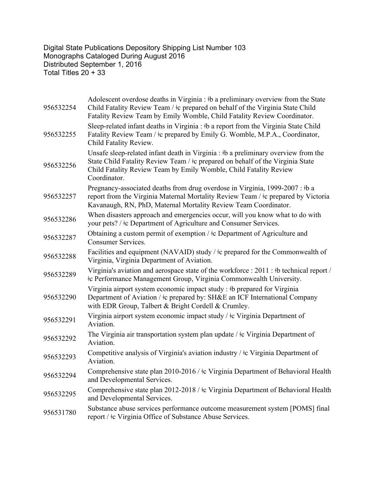Digital State Publications Depository Shipping List Number 103 Monographs Cataloged During August 2016 Distributed September 1, 2016 Total Titles 20 + 33

| 956532254 | Adolescent overdose deaths in Virginia : #b a preliminary overview from the State<br>Child Fatality Review Team / $\pm c$ prepared on behalf of the Virginia State Child<br>Fatality Review Team by Emily Womble, Child Fatality Review Coordinator.      |
|-----------|-----------------------------------------------------------------------------------------------------------------------------------------------------------------------------------------------------------------------------------------------------------|
| 956532255 | Sleep-related infant deaths in Virginia : #b a report from the Virginia State Child<br>Fatality Review Team / $\pm c$ prepared by Emily G. Womble, M.P.A., Coordinator,<br>Child Fatality Review.                                                         |
| 956532256 | Unsafe sleep-related infant death in Virginia : #b a preliminary overview from the<br>State Child Fatality Review Team / ‡c prepared on behalf of the Virginia State<br>Child Fatality Review Team by Emily Womble, Child Fatality Review<br>Coordinator. |
| 956532257 | Pregnancy-associated deaths from drug overdose in Virginia, 1999-2007 : #b a<br>report from the Virginia Maternal Mortality Review Team / ‡c prepared by Victoria<br>Kavanaugh, RN, PhD, Maternal Mortality Review Team Coordinator.                      |
| 956532286 | When disasters approach and emergencies occur, will you know what to do with<br>your pets? / ‡c Department of Agriculture and Consumer Services.                                                                                                          |
| 956532287 | Obtaining a custom permit of exemption / ‡c Department of Agriculture and<br><b>Consumer Services.</b>                                                                                                                                                    |
| 956532288 | Facilities and equipment (NAVAID) study / $\pm c$ prepared for the Commonwealth of<br>Virginia, Virginia Department of Aviation.                                                                                                                          |
| 956532289 | Virginia's aviation and aerospace state of the workforce : 2011 : #b technical report /<br>#c Performance Management Group, Virginia Commonwealth University.                                                                                             |
| 956532290 | Virginia airport system economic impact study : #b prepared for Virginia<br>Department of Aviation / ‡c prepared by: SH&E an ICF International Company<br>with EDR Group, Talbert & Bright Cordell & Crumley.                                             |
| 956532291 | Virginia airport system economic impact study / ‡c Virginia Department of<br>Aviation.                                                                                                                                                                    |
| 956532292 | The Virginia air transportation system plan update / $\pm c$ Virginia Department of<br>Aviation.                                                                                                                                                          |
| 956532293 | Competitive analysis of Virginia's aviation industry / $\pm$ Virginia Department of<br>Aviation.                                                                                                                                                          |
| 956532294 | Comprehensive state plan 2010-2016 / ‡c Virginia Department of Behavioral Health<br>and Developmental Services.                                                                                                                                           |
| 956532295 | Comprehensive state plan 2012-2018 / ‡c Virginia Department of Behavioral Health<br>and Developmental Services.                                                                                                                                           |
| 956531780 | Substance abuse services performance outcome measurement system [POMS] final<br>report / ‡c Virginia Office of Substance Abuse Services.                                                                                                                  |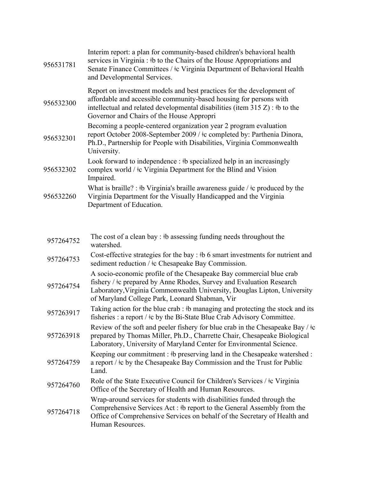| 956531781 | Interim report: a plan for community-based children's behavioral health<br>services in Virginia : #b to the Chairs of the House Appropriations and<br>Senate Finance Committees / ‡c Virginia Department of Behavioral Health<br>and Developmental Services.                   |
|-----------|--------------------------------------------------------------------------------------------------------------------------------------------------------------------------------------------------------------------------------------------------------------------------------|
| 956532300 | Report on investment models and best practices for the development of<br>affordable and accessible community-based housing for persons with<br>intellectual and related developmental disabilities (item $315 Z$ ): #b to the<br>Governor and Chairs of the House Appropri     |
| 956532301 | Becoming a people-centered organization year 2 program evaluation<br>report October 2008-September 2009 / ‡c completed by: Parthenia Dinora,<br>Ph.D., Partnership for People with Disabilities, Virginia Commonwealth<br>University.                                          |
| 956532302 | Look forward to independence : #b specialized help in an increasingly<br>complex world / $\pm c$ Virginia Department for the Blind and Vision<br>Impaired.                                                                                                                     |
| 956532260 | What is braille? : #b Virginia's braille awareness guide / $\pm$ c produced by the<br>Virginia Department for the Visually Handicapped and the Virginia<br>Department of Education.                                                                                            |
| 957264752 | The cost of a clean bay: #b assessing funding needs throughout the                                                                                                                                                                                                             |
|           | watershed.<br>Cost-effective strategies for the bay : $\#b$ 6 smart investments for nutrient and                                                                                                                                                                               |
| 957264753 | sediment reduction / $\pm$ c Chesapeake Bay Commission.                                                                                                                                                                                                                        |
| 957264754 | A socio-economic profile of the Chesapeake Bay commercial blue crab<br>fishery / $\pm c$ prepared by Anne Rhodes, Survey and Evaluation Research<br>Laboratory, Virginia Commonwealth University, Douglas Lipton, University<br>of Maryland College Park, Leonard Shabman, Vir |
| 957263917 | Taking action for the blue crab : #b managing and protecting the stock and its<br>fisheries : a report / $\pm c$ by the Bi-State Blue Crab Advisory Committee.                                                                                                                 |
| 957263918 | Review of the soft and peeler fishery for blue crab in the Chesapeake Bay / $\pm c$<br>prepared by Thomas Miller, Ph.D., Charrette Chair, Chesapeake Biological<br>Laboratory, University of Maryland Center for Environmental Science.                                        |
| 957264759 | Keeping our commitment : #b preserving land in the Chesapeake watershed :<br>a report $/$ $\pm c$ by the Chesapeake Bay Commission and the Trust for Public<br>Land.                                                                                                           |
| 957264760 | Role of the State Executive Council for Children's Services / ‡c Virginia<br>Office of the Secretary of Health and Human Resources.                                                                                                                                            |
| 957264718 | Wrap-around services for students with disabilities funded through the<br>Comprehensive Services Act: #b report to the General Assembly from the<br>Office of Comprehensive Services on behalf of the Secretary of Health and<br>Human Resources.                              |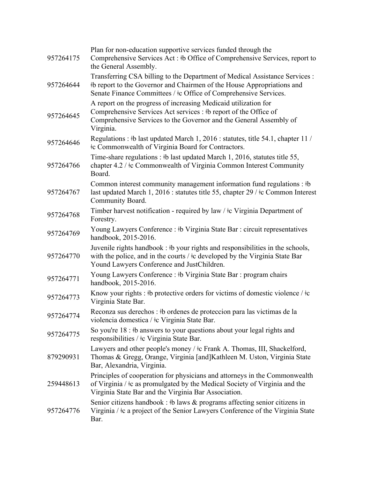| 957264175 | Plan for non-education supportive services funded through the<br>Comprehensive Services Act: #b Office of Comprehensive Services, report to<br>the General Assembly.                                                      |
|-----------|---------------------------------------------------------------------------------------------------------------------------------------------------------------------------------------------------------------------------|
| 957264644 | Transferring CSA billing to the Department of Medical Assistance Services :<br>#b report to the Governor and Chairmen of the House Appropriations and<br>Senate Finance Committees / ‡c Office of Comprehensive Services. |
| 957264645 | A report on the progress of increasing Medicaid utilization for<br>Comprehensive Services Act services : #b report of the Office of<br>Comprehensive Services to the Governor and the General Assembly of<br>Virginia.    |
| 957264646 | Regulations : #b last updated March 1, 2016 : statutes, title 54.1, chapter 11 /<br><b>Example 2</b> Commonwealth of Virginia Board for Contractors.                                                                      |
| 957264766 | Time-share regulations : #b last updated March 1, 2016, statutes title 55,<br>chapter 4.2 / ‡c Commonwealth of Virginia Common Interest Community<br>Board.                                                               |
| 957264767 | Common interest community management information fund regulations : #b<br>last updated March 1, 2016 : statutes title 55, chapter 29 / ‡c Common Interest<br>Community Board.                                             |
| 957264768 | Timber harvest notification - required by law / $\pm c$ Virginia Department of<br>Forestry.                                                                                                                               |
| 957264769 | Young Lawyers Conference : #b Virginia State Bar : circuit representatives<br>handbook, 2015-2016.                                                                                                                        |
| 957264770 | Juvenile rights handbook : #b your rights and responsibilities in the schools,<br>with the police, and in the courts / $\pm c$ developed by the Virginia State Bar<br>Yound Lawyers Conference and JustChildren.          |
| 957264771 | Young Lawyers Conference : #b Virginia State Bar : program chairs<br>handbook, 2015-2016.                                                                                                                                 |
| 957264773 | Know your rights : #b protective orders for victims of domestic violence / $\pm c$<br>Virginia State Bar.                                                                                                                 |
| 957264774 | Reconza sus derechos : #b ordenes de proteccion para las victimas de la<br>violencia domestica / ‡c Virginia State Bar.                                                                                                   |
| 957264775 | So you're $18:$ #b answers to your questions about your legal rights and<br>responsibilities / ‡c Virginia State Bar.                                                                                                     |
| 879290931 | Lawyers and other people's money / ‡c Frank A. Thomas, III, Shackelford,<br>Thomas & Gregg, Orange, Virginia [and]Kathleen M. Uston, Virginia State<br>Bar, Alexandria, Virginia.                                         |
| 259448613 | Principles of cooperation for physicians and attorneys in the Commonwealth<br>of Virginia / $\pm c$ as promulgated by the Medical Society of Virginia and the<br>Virginia State Bar and the Virginia Bar Association.     |
| 957264776 | Senior citizens handbook : #b laws $\&$ programs affecting senior citizens in<br>Virginia / $\pm c$ a project of the Senior Lawyers Conference of the Virginia State<br>Bar.                                              |